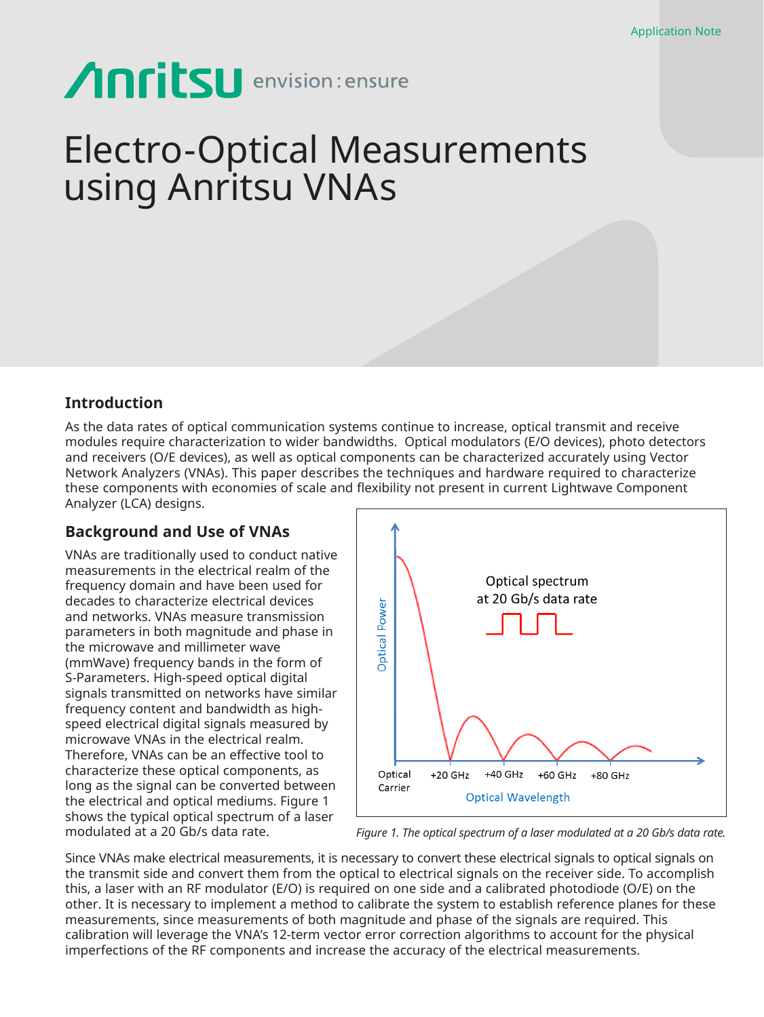# Anritsu envision: ensure

## Electro-Optical Measurements using Anritsu VNAs

## **Introduction**

As the data rates of optical communication systems continue to increase, optical transmit and receive modules require characterization to wider bandwidths. Optical modulators (E/O devices), photo detectors and receivers (O/E devices), as well as optical components can be characterized accurately using Vector Network Analyzers (VNAs). This paper describes the techniques and hardware required to characterize these components with economies of scale and flexibility not present in current Lightwave Component Analyzer (LCA) designs.

## **Background and Use of VNAs**

VNAs are traditionally used to conduct native measurements in the electrical realm of the frequency domain and have been used for decades to characterize electrical devices and networks. VNAs measure transmission parameters in both magnitude and phase in the microwave and millimeter wave (mmWave) frequency bands in the form of S-Parameters. High-speed optical digital signals transmitted on networks have similar frequency content and bandwidth as highspeed electrical digital signals measured by microwave VNAs in the electrical realm. Therefore, VNAs can be an effective tool to characterize these optical components, as long as the signal can be converted between the electrical and optical mediums. Figure 1 shows the typical optical spectrum of a laser modulated at a 20 Gb/s data rate.



*Figure 1. The optical spectrum of a laser modulated at a 20 Gb/s data rate.*

Since VNAs make electrical measurements, it is necessary to convert these electrical signals to optical signals on the transmit side and convert them from the optical to electrical signals on the receiver side. To accomplish this, a laser with an RF modulator (E/O) is required on one side and a calibrated photodiode (O/E) on the other. It is necessary to implement a method to calibrate the system to establish reference planes for these measurements, since measurements of both magnitude and phase of the signals are required. This calibration will leverage the VNA's 12-term vector error correction algorithms to account for the physical imperfections of the RF components and increase the accuracy of the electrical measurements.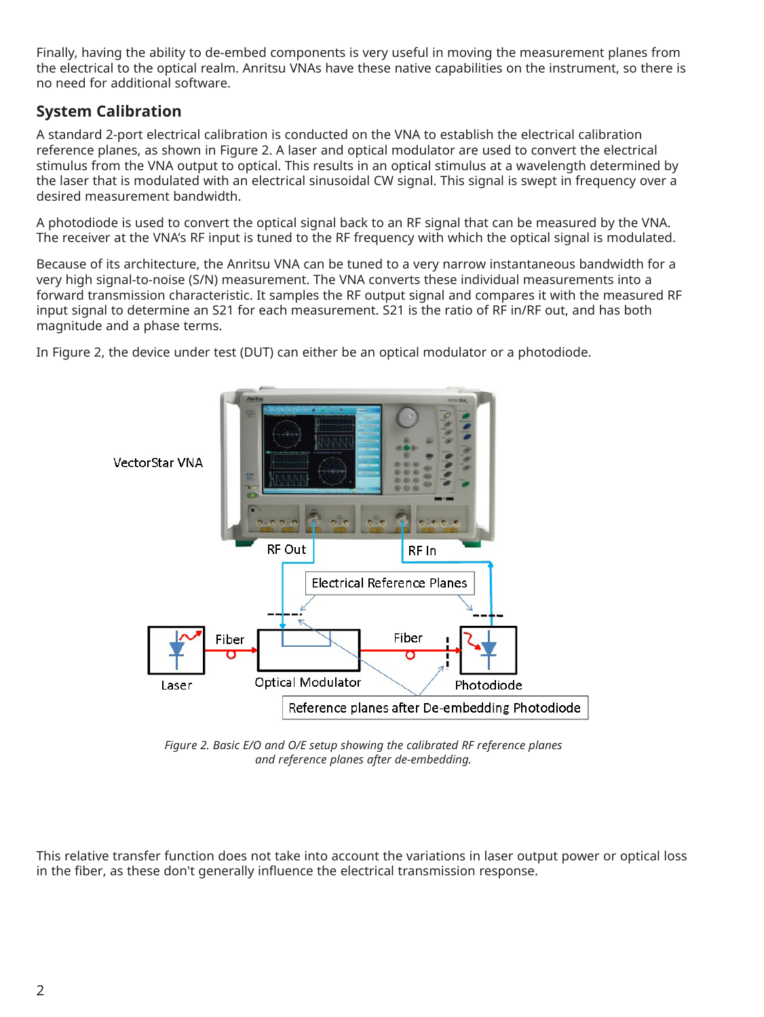Finally, having the ability to de-embed components is very useful in moving the measurement planes from the electrical to the optical realm. Anritsu VNAs have these native capabilities on the instrument, so there is no need for additional software.

## **System Calibration**

A standard 2-port electrical calibration is conducted on the VNA to establish the electrical calibration reference planes, as shown in Figure 2. A laser and optical modulator are used to convert the electrical stimulus from the VNA output to optical. This results in an optical stimulus at a wavelength determined by the laser that is modulated with an electrical sinusoidal CW signal. This signal is swept in frequency over a desired measurement bandwidth.

A photodiode is used to convert the optical signal back to an RF signal that can be measured by the VNA. The receiver at the VNA's RF input is tuned to the RF frequency with which the optical signal is modulated.

Because of its architecture, the Anritsu VNA can be tuned to a very narrow instantaneous bandwidth for a very high signal-to-noise (S/N) measurement. The VNA converts these individual measurements into a forward transmission characteristic. It samples the RF output signal and compares it with the measured RF input signal to determine an S21 for each measurement. S21 is the ratio of RF in/RF out, and has both magnitude and a phase terms.

In Figure 2, the device under test (DUT) can either be an optical modulator or a photodiode.



*Figure 2. Basic E/O and O/E setup showing the calibrated RF reference planes and reference planes after de-embedding.*

This relative transfer function does not take into account the variations in laser output power or optical loss in the fiber, as these don't generally influence the electrical transmission response.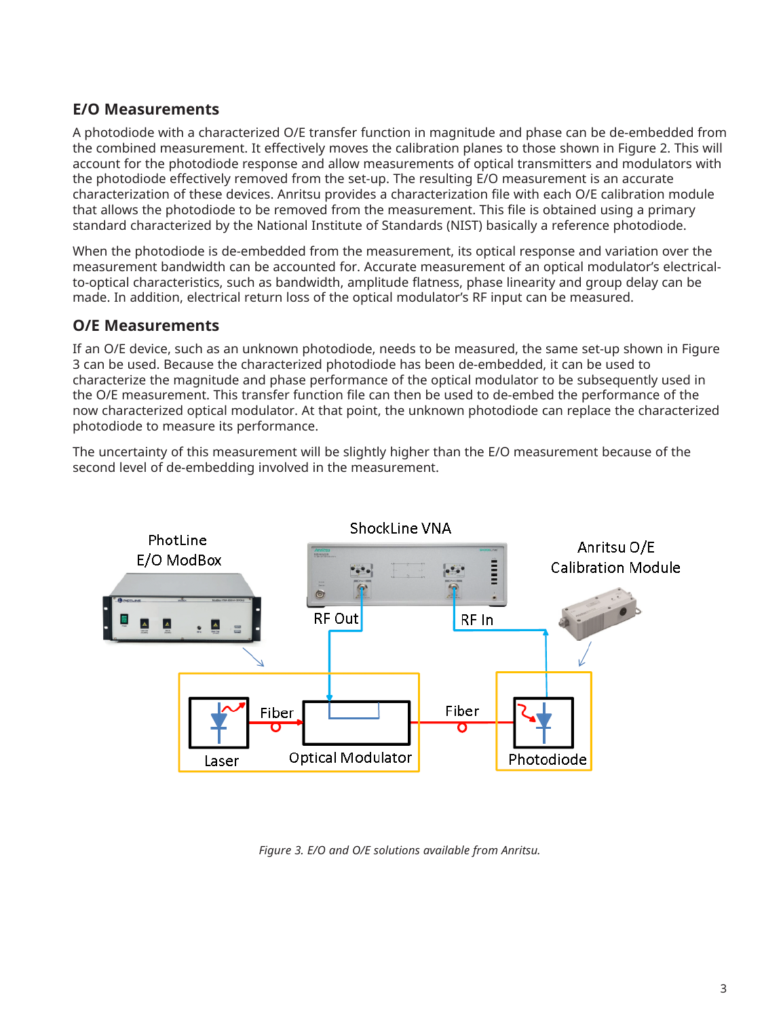## **E/O Measurements**

A photodiode with a characterized O/E transfer function in magnitude and phase can be de-embedded from the combined measurement. It effectively moves the calibration planes to those shown in Figure 2. This will account for the photodiode response and allow measurements of optical transmitters and modulators with the photodiode effectively removed from the set-up. The resulting E/O measurement is an accurate characterization of these devices. Anritsu provides a characterization file with each O/E calibration module that allows the photodiode to be removed from the measurement. This file is obtained using a primary standard characterized by the National Institute of Standards (NIST) basically a reference photodiode.

When the photodiode is de-embedded from the measurement, its optical response and variation over the measurement bandwidth can be accounted for. Accurate measurement of an optical modulator's electricalto-optical characteristics, such as bandwidth, amplitude flatness, phase linearity and group delay can be made. In addition, electrical return loss of the optical modulator's RF input can be measured.

## **O/E Measurements**

If an O/E device, such as an unknown photodiode, needs to be measured, the same set-up shown in Figure 3 can be used. Because the characterized photodiode has been de-embedded, it can be used to characterize the magnitude and phase performance of the optical modulator to be subsequently used in the O/E measurement. This transfer function file can then be used to de-embed the performance of the now characterized optical modulator. At that point, the unknown photodiode can replace the characterized photodiode to measure its performance.

The uncertainty of this measurement will be slightly higher than the E/O measurement because of the second level of de-embedding involved in the measurement.



*Figure 3. E/O and O/E solutions available from Anritsu.*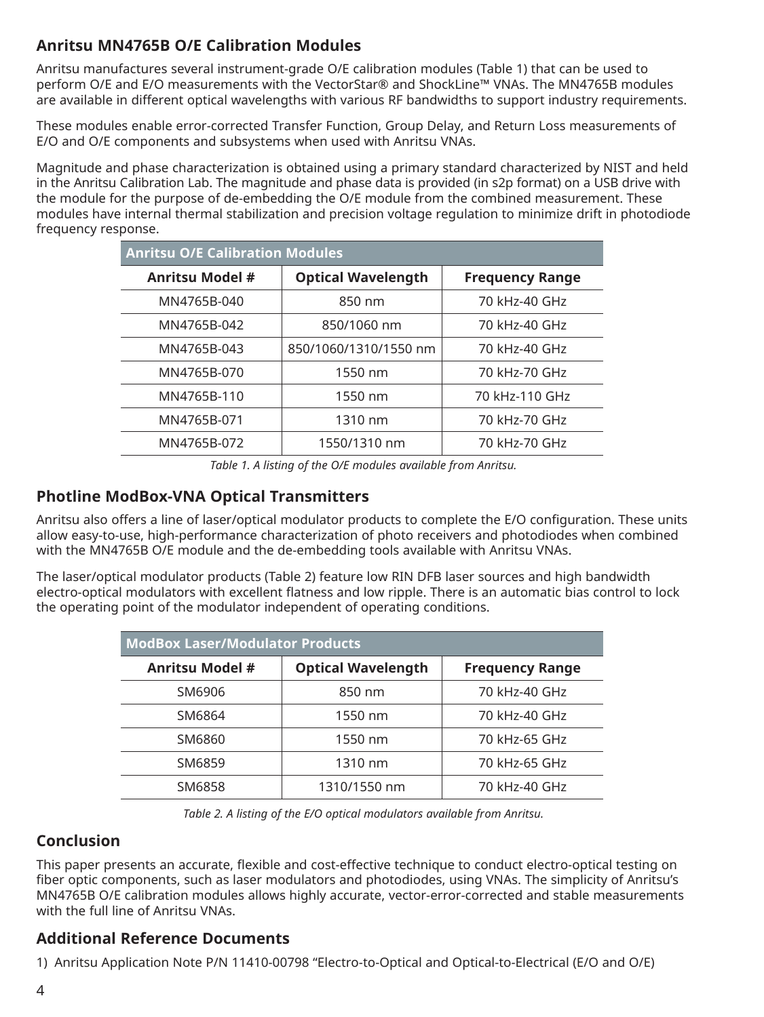## **Anritsu MN4765B O/E Calibration Modules**

Anritsu manufactures several instrument-grade O/E calibration modules (Table 1) that can be used to perform O/E and E/O measurements with the VectorStar® and ShockLine™ VNAs. The MN4765B modules are available in different optical wavelengths with various RF bandwidths to support industry requirements.

These modules enable error-corrected Transfer Function, Group Delay, and Return Loss measurements of E/O and O/E components and subsystems when used with Anritsu VNAs.

Magnitude and phase characterization is obtained using a primary standard characterized by NIST and held in the Anritsu Calibration Lab. The magnitude and phase data is provided (in s2p format) on a USB drive with the module for the purpose of de-embedding the O/E module from the combined measurement. These modules have internal thermal stabilization and precision voltage regulation to minimize drift in photodiode frequency response.

| <b>Anritsu O/E Calibration Modules</b> |                           |                        |  |
|----------------------------------------|---------------------------|------------------------|--|
| <b>Anritsu Model #</b>                 | <b>Optical Wavelength</b> | <b>Frequency Range</b> |  |
| MN4765B-040                            | 850 nm                    | 70 kHz-40 GHz          |  |
| MN4765B-042                            | 850/1060 nm               | 70 kHz-40 GHz          |  |
| MN4765B-043                            | 850/1060/1310/1550 nm     | 70 kHz-40 GHz          |  |
| MN4765B-070                            | 1550 nm                   | 70 kHz-70 GHz          |  |
| MN4765B-110                            | 1550 nm                   | 70 kHz-110 GHz         |  |
| MN4765B-071                            | 1310 nm                   | 70 kHz-70 GHz          |  |
| MN4765B-072                            | 1550/1310 nm              | 70 kHz-70 GHz          |  |

*Table 1. A listing of the O/E modules available from Anritsu.*

## **Photline ModBox-VNA Optical Transmitters**

Anritsu also offers a line of laser/optical modulator products to complete the E/O configuration. These units allow easy-to-use, high-performance characterization of photo receivers and photodiodes when combined with the MN4765B O/E module and the de-embedding tools available with Anritsu VNAs.

The laser/optical modulator products (Table 2) feature low RIN DFB laser sources and high bandwidth electro-optical modulators with excellent flatness and low ripple. There is an automatic bias control to lock the operating point of the modulator independent of operating conditions.

| <b>ModBox Laser/Modulator Products</b> |                           |                        |  |
|----------------------------------------|---------------------------|------------------------|--|
| <b>Anritsu Model #</b>                 | <b>Optical Wavelength</b> | <b>Frequency Range</b> |  |
| SM6906                                 | 850 nm                    | 70 kHz-40 GHz          |  |
| SM6864                                 | 1550 nm                   | 70 kHz-40 GHz          |  |
| SM6860                                 | 1550 nm                   | 70 kHz-65 GHz          |  |
| SM6859                                 | 1310 nm                   | 70 kHz-65 GHz          |  |
| SM6858                                 | 1310/1550 nm              | 70 kHz-40 GHz          |  |

*Table 2. A listing of the E/O optical modulators available from Anritsu.*

## **Conclusion**

This paper presents an accurate, flexible and cost-effective technique to conduct electro-optical testing on fiber optic components, such as laser modulators and photodiodes, using VNAs. The simplicity of Anritsu's MN4765B O/E calibration modules allows highly accurate, vector-error-corrected and stable measurements with the full line of Anritsu VNAs.

## **Additional Reference Documents**

1) Anritsu Application Note P/N 11410-00798 "Electro-to-Optical and Optical-to-Electrical (E/O and O/E)